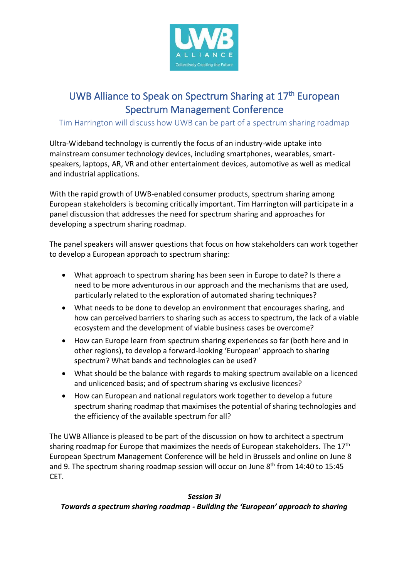

# UWB Alliance to Speak on Spectrum Sharing at 17<sup>th</sup> European Spectrum Management Conference

## Tim Harrington will discuss how UWB can be part of a spectrum sharing roadmap

Ultra-Wideband technology is currently the focus of an industry-wide uptake into mainstream consumer technology devices, including smartphones, wearables, smartspeakers, laptops, AR, VR and other entertainment devices, automotive as well as medical and industrial applications.

With the rapid growth of UWB-enabled consumer products, spectrum sharing among European stakeholders is becoming critically important. Tim Harrington will participate in a panel discussion that addresses the need for spectrum sharing and approaches for developing a spectrum sharing roadmap.

The panel speakers will answer questions that focus on how stakeholders can work together to develop a European approach to spectrum sharing:

- What approach to spectrum sharing has been seen in Europe to date? Is there a need to be more adventurous in our approach and the mechanisms that are used, particularly related to the exploration of automated sharing techniques?
- What needs to be done to develop an environment that encourages sharing, and how can perceived barriers to sharing such as access to spectrum, the lack of a viable ecosystem and the development of viable business cases be overcome?
- How can Europe learn from spectrum sharing experiences so far (both here and in other regions), to develop a forward-looking 'European' approach to sharing spectrum? What bands and technologies can be used?
- What should be the balance with regards to making spectrum available on a licenced and unlicenced basis; and of spectrum sharing vs exclusive licences?
- How can European and national regulators work together to develop a future spectrum sharing roadmap that maximises the potential of sharing technologies and the efficiency of the available spectrum for all?

The UWB Alliance is pleased to be part of the discussion on how to architect a spectrum sharing roadmap for Europe that maximizes the needs of European stakeholders. The  $17<sup>th</sup>$ European Spectrum Management Conference will be held in Brussels and online on June 8 and 9. The spectrum sharing roadmap session will occur on June  $8<sup>th</sup>$  from 14:40 to 15:45 CET.

#### *Session 3i*

## *Towards a spectrum sharing roadmap - Building the 'European' approach to sharing*